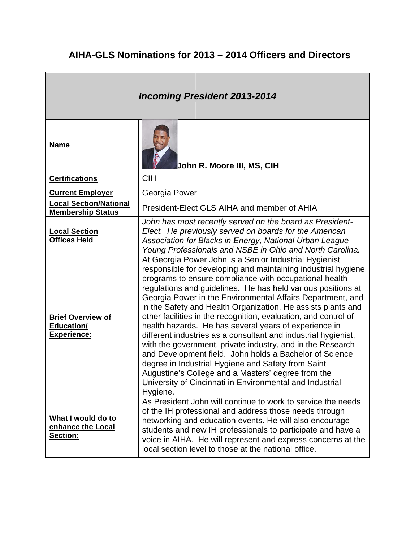|                                                                     | <b>Incoming President 2013-2014</b>                                                                                                                                                                                                                                                                                                                                                                                                                                                                                                                                                                                                                                                                                                                                                                                                                                                        |
|---------------------------------------------------------------------|--------------------------------------------------------------------------------------------------------------------------------------------------------------------------------------------------------------------------------------------------------------------------------------------------------------------------------------------------------------------------------------------------------------------------------------------------------------------------------------------------------------------------------------------------------------------------------------------------------------------------------------------------------------------------------------------------------------------------------------------------------------------------------------------------------------------------------------------------------------------------------------------|
| <b>Name</b>                                                         | <b>John R. Moore III, MS, CIH</b>                                                                                                                                                                                                                                                                                                                                                                                                                                                                                                                                                                                                                                                                                                                                                                                                                                                          |
| <b>Certifications</b>                                               | <b>CIH</b>                                                                                                                                                                                                                                                                                                                                                                                                                                                                                                                                                                                                                                                                                                                                                                                                                                                                                 |
| <b>Current Employer</b>                                             | Georgia Power                                                                                                                                                                                                                                                                                                                                                                                                                                                                                                                                                                                                                                                                                                                                                                                                                                                                              |
| <b>Local Section/National</b><br><b>Membership Status</b>           | President-Elect GLS AIHA and member of AHIA                                                                                                                                                                                                                                                                                                                                                                                                                                                                                                                                                                                                                                                                                                                                                                                                                                                |
| <b>Local Section</b><br><b>Offices Held</b>                         | John has most recently served on the board as President-<br>Elect. He previously served on boards for the American<br>Association for Blacks in Energy, National Urban League<br>Young Professionals and NSBE in Ohio and North Carolina.                                                                                                                                                                                                                                                                                                                                                                                                                                                                                                                                                                                                                                                  |
| <b>Brief Overview of</b><br><b>Education/</b><br><b>Experience:</b> | At Georgia Power John is a Senior Industrial Hygienist<br>responsible for developing and maintaining industrial hygiene<br>programs to ensure compliance with occupational health<br>regulations and guidelines. He has held various positions at<br>Georgia Power in the Environmental Affairs Department, and<br>in the Safety and Health Organization. He assists plants and<br>other facilities in the recognition, evaluation, and control of<br>health hazards. He has several years of experience in<br>different industries as a consultant and industrial hygienist,<br>with the government, private industry, and in the Research<br>and Development field. John holds a Bachelor of Science<br>degree in Industrial Hygiene and Safety from Saint<br>Augustine's College and a Masters' degree from the<br>University of Cincinnati in Environmental and Industrial<br>Hygiene. |
| What I would do to<br>enhance the Local<br><b>Section:</b>          | As President John will continue to work to service the needs<br>of the IH professional and address those needs through<br>networking and education events. He will also encourage<br>students and new IH professionals to participate and have a<br>voice in AIHA. He will represent and express concerns at the<br>local section level to those at the national office.                                                                                                                                                                                                                                                                                                                                                                                                                                                                                                                   |

## AIHA-GLS Nominations for 2013 – 2014 Officers and Directors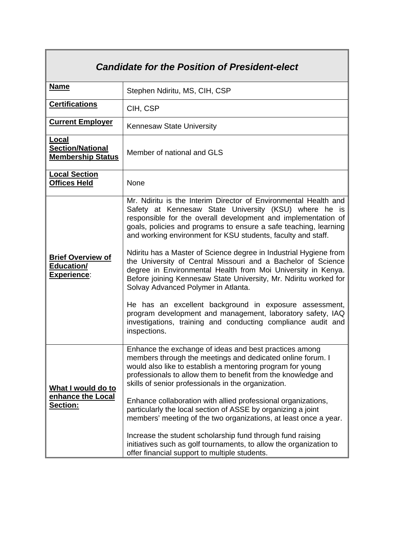| <b>Candidate for the Position of President-elect</b>                |                                                                                                                                                                                                                                                                                                                                                                                                                                                                                                                                                                                                                                                                                                                                                                                                                                                       |  |
|---------------------------------------------------------------------|-------------------------------------------------------------------------------------------------------------------------------------------------------------------------------------------------------------------------------------------------------------------------------------------------------------------------------------------------------------------------------------------------------------------------------------------------------------------------------------------------------------------------------------------------------------------------------------------------------------------------------------------------------------------------------------------------------------------------------------------------------------------------------------------------------------------------------------------------------|--|
| <b>Name</b>                                                         | Stephen Ndiritu, MS, CIH, CSP                                                                                                                                                                                                                                                                                                                                                                                                                                                                                                                                                                                                                                                                                                                                                                                                                         |  |
| <b>Certifications</b>                                               | CIH, CSP                                                                                                                                                                                                                                                                                                                                                                                                                                                                                                                                                                                                                                                                                                                                                                                                                                              |  |
| <b>Current Employer</b>                                             | Kennesaw State University                                                                                                                                                                                                                                                                                                                                                                                                                                                                                                                                                                                                                                                                                                                                                                                                                             |  |
| Local<br><b>Section/National</b><br><b>Membership Status</b>        | Member of national and GLS                                                                                                                                                                                                                                                                                                                                                                                                                                                                                                                                                                                                                                                                                                                                                                                                                            |  |
| <b>Local Section</b><br><b>Offices Held</b>                         | None                                                                                                                                                                                                                                                                                                                                                                                                                                                                                                                                                                                                                                                                                                                                                                                                                                                  |  |
| <b>Brief Overview of</b><br><b>Education/</b><br><b>Experience:</b> | Mr. Ndiritu is the Interim Director of Environmental Health and<br>Safety at Kennesaw State University (KSU) where he is<br>responsible for the overall development and implementation of<br>goals, policies and programs to ensure a safe teaching, learning<br>and working environment for KSU students, faculty and staff.<br>Ndiritu has a Master of Science degree in Industrial Hygiene from<br>the University of Central Missouri and a Bachelor of Science<br>degree in Environmental Health from Moi University in Kenya.<br>Before joining Kennesaw State University, Mr. Ndiritu worked for<br>Solvay Advanced Polymer in Atlanta.<br>He has an excellent background in exposure assessment,<br>program development and management, laboratory safety, IAQ<br>investigations, training and conducting compliance audit and<br>inspections. |  |
| What I would do to<br>enhance the Local<br><b>Section:</b>          | Enhance the exchange of ideas and best practices among<br>members through the meetings and dedicated online forum. I<br>would also like to establish a mentoring program for young<br>professionals to allow them to benefit from the knowledge and<br>skills of senior professionals in the organization.<br>Enhance collaboration with allied professional organizations,<br>particularly the local section of ASSE by organizing a joint<br>members' meeting of the two organizations, at least once a year.<br>Increase the student scholarship fund through fund raising<br>initiatives such as golf tournaments, to allow the organization to<br>offer financial support to multiple students.                                                                                                                                                  |  |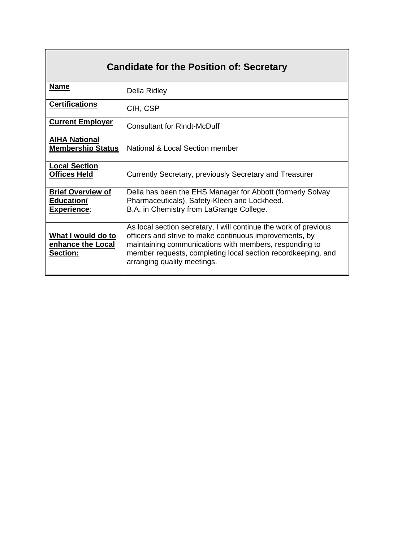| Name                                                         | Della Ridley                                                                                                                                                                                                                                                                         |
|--------------------------------------------------------------|--------------------------------------------------------------------------------------------------------------------------------------------------------------------------------------------------------------------------------------------------------------------------------------|
| <b>Certifications</b>                                        | CIH, CSP                                                                                                                                                                                                                                                                             |
| <b>Current Employer</b>                                      | <b>Consultant for Rindt-McDuff</b>                                                                                                                                                                                                                                                   |
| <b>AIHA National</b><br><b>Membership Status</b>             | National & Local Section member                                                                                                                                                                                                                                                      |
| <b>Local Section</b><br><b>Offices Held</b>                  | Currently Secretary, previously Secretary and Treasurer                                                                                                                                                                                                                              |
| <b>Brief Overview of</b><br>Education/<br><b>Experience:</b> | Della has been the EHS Manager for Abbott (formerly Solvay<br>Pharmaceuticals), Safety-Kleen and Lockheed.<br>B.A. in Chemistry from LaGrange College.                                                                                                                               |
| What I would do to<br>enhance the Local<br><b>Section:</b>   | As local section secretary, I will continue the work of previous<br>officers and strive to make continuous improvements, by<br>maintaining communications with members, responding to<br>member requests, completing local section recordkeeping, and<br>arranging quality meetings. |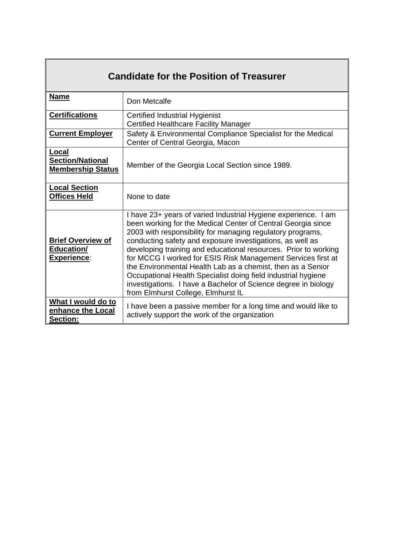| <b>Candidate for the Position of Treasurer</b>               |                                                                                                                                                                                                                                                                                                                                                                                                                                                                                                                                                                                                                                      |  |
|--------------------------------------------------------------|--------------------------------------------------------------------------------------------------------------------------------------------------------------------------------------------------------------------------------------------------------------------------------------------------------------------------------------------------------------------------------------------------------------------------------------------------------------------------------------------------------------------------------------------------------------------------------------------------------------------------------------|--|
| <b>Name</b>                                                  | Don Metcalfe                                                                                                                                                                                                                                                                                                                                                                                                                                                                                                                                                                                                                         |  |
| <b>Certifications</b>                                        | <b>Certified Industrial Hygienist</b><br><b>Certified Healthcare Facility Manager</b>                                                                                                                                                                                                                                                                                                                                                                                                                                                                                                                                                |  |
| <b>Current Employer</b>                                      | Safety & Environmental Compliance Specialist for the Medical<br>Center of Central Georgia, Macon                                                                                                                                                                                                                                                                                                                                                                                                                                                                                                                                     |  |
| Local<br><b>Section/National</b><br><b>Membership Status</b> | Member of the Georgia Local Section since 1989.                                                                                                                                                                                                                                                                                                                                                                                                                                                                                                                                                                                      |  |
| <b>Local Section</b><br><b>Offices Held</b>                  | None to date                                                                                                                                                                                                                                                                                                                                                                                                                                                                                                                                                                                                                         |  |
| <b>Brief Overview of</b><br>Education/<br><b>Experience:</b> | I have 23+ years of varied Industrial Hygiene experience. I am<br>been working for the Medical Center of Central Georgia since<br>2003 with responsibility for managing regulatory programs,<br>conducting safety and exposure investigations, as well as<br>developing training and educational resources. Prior to working<br>for MCCG I worked for ESIS Risk Management Services first at<br>the Environmental Health Lab as a chemist, then as a Senior<br>Occupational Health Specialist doing field industrial hygiene<br>investigations. I have a Bachelor of Science degree in biology<br>from Elmhurst College, Elmhurst IL |  |
| What I would do to<br>enhance the Local<br>Section:          | I have been a passive member for a long time and would like to<br>actively support the work of the organization                                                                                                                                                                                                                                                                                                                                                                                                                                                                                                                      |  |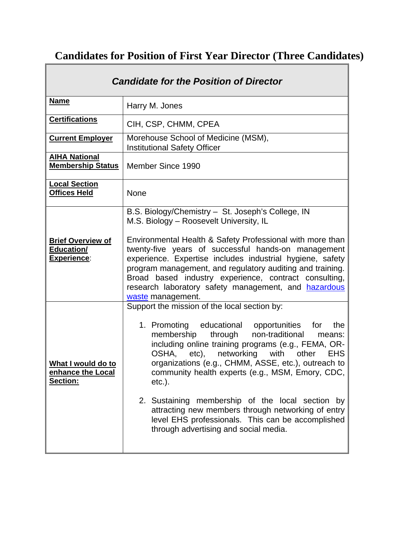## **Candidates for Position of First Year Director (Three Candidates)**

 $\overline{\mathbf{1}}$ 

| <b>Candidate for the Position of Director</b>                       |                                                                                                                                                                                                                                                                                                                                                                                                                                                                                                                                                                                         |
|---------------------------------------------------------------------|-----------------------------------------------------------------------------------------------------------------------------------------------------------------------------------------------------------------------------------------------------------------------------------------------------------------------------------------------------------------------------------------------------------------------------------------------------------------------------------------------------------------------------------------------------------------------------------------|
| <b>Name</b>                                                         | Harry M. Jones                                                                                                                                                                                                                                                                                                                                                                                                                                                                                                                                                                          |
| <b>Certifications</b>                                               | CIH, CSP, CHMM, CPEA                                                                                                                                                                                                                                                                                                                                                                                                                                                                                                                                                                    |
| <b>Current Employer</b>                                             | Morehouse School of Medicine (MSM),<br><b>Institutional Safety Officer</b>                                                                                                                                                                                                                                                                                                                                                                                                                                                                                                              |
| <b>AIHA National</b><br><b>Membership Status</b>                    | Member Since 1990                                                                                                                                                                                                                                                                                                                                                                                                                                                                                                                                                                       |
| <b>Local Section</b><br><b>Offices Held</b>                         | <b>None</b>                                                                                                                                                                                                                                                                                                                                                                                                                                                                                                                                                                             |
| <b>Brief Overview of</b><br><b>Education/</b><br><b>Experience:</b> | B.S. Biology/Chemistry - St. Joseph's College, IN<br>M.S. Biology - Roosevelt University, IL<br>Environmental Health & Safety Professional with more than<br>twenty-five years of successful hands-on management<br>experience. Expertise includes industrial hygiene, safety<br>program management, and regulatory auditing and training.<br>Broad based industry experience, contract consulting,<br>research laboratory safety management, and hazardous<br>waste management.                                                                                                        |
| What I would do to<br>enhance the Local<br><u>Section:</u>          | Support the mission of the local section by:<br>1. Promoting educational opportunities for<br>the<br>through non-traditional<br>membership<br>means:<br>including online training programs (e.g., FEMA, OR-<br>OSHA, etc), networking with other EHS<br>organizations (e.g., CHMM, ASSE, etc.), outreach to<br>community health experts (e.g., MSM, Emory, CDC,<br>$etc.$ ).<br>2. Sustaining membership of the local section<br>by<br>attracting new members through networking of entry<br>level EHS professionals. This can be accomplished<br>through advertising and social media. |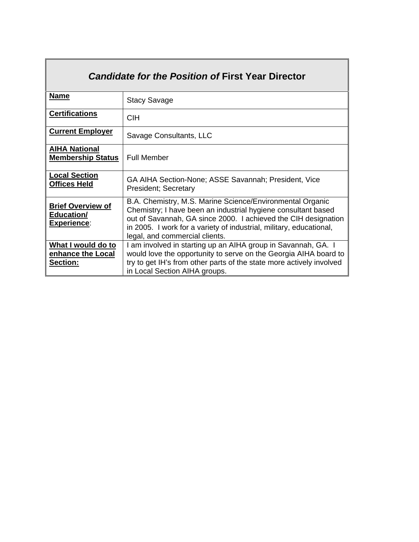| <b>Candidate for the Position of First Year Director</b>     |                                                                                                                                                                                                                                                                                                       |  |
|--------------------------------------------------------------|-------------------------------------------------------------------------------------------------------------------------------------------------------------------------------------------------------------------------------------------------------------------------------------------------------|--|
| <b>Name</b>                                                  | <b>Stacy Savage</b>                                                                                                                                                                                                                                                                                   |  |
| <b>Certifications</b>                                        | <b>CIH</b>                                                                                                                                                                                                                                                                                            |  |
| <b>Current Employer</b>                                      | Savage Consultants, LLC                                                                                                                                                                                                                                                                               |  |
| <b>AIHA National</b><br><b>Membership Status</b>             | <b>Full Member</b>                                                                                                                                                                                                                                                                                    |  |
| <b>Local Section</b><br><b>Offices Held</b>                  | GA AIHA Section-None; ASSE Savannah; President, Vice<br><b>President</b> ; Secretary                                                                                                                                                                                                                  |  |
| <b>Brief Overview of</b><br>Education/<br><b>Experience:</b> | B.A. Chemistry, M.S. Marine Science/Environmental Organic<br>Chemistry; I have been an industrial hygiene consultant based<br>out of Savannah, GA since 2000. I achieved the CIH designation<br>in 2005. I work for a variety of industrial, military, educational,<br>legal, and commercial clients. |  |
| What I would do to<br>enhance the Local<br><b>Section:</b>   | I am involved in starting up an AIHA group in Savannah, GA. I<br>would love the opportunity to serve on the Georgia AIHA board to<br>try to get IH's from other parts of the state more actively involved<br>in Local Section AIHA groups.                                                            |  |